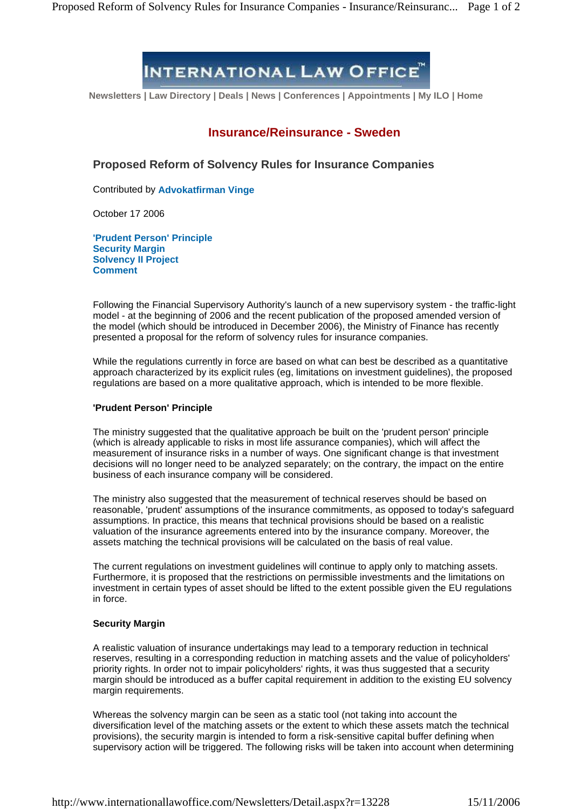# **INTERNATIONAL LAW OFFICE**

**Newsletters | Law Directory | Deals | News | Conferences | Appointments | My ILO | Home**

## **Insurance/Reinsurance - Sweden**

**Proposed Reform of Solvency Rules for Insurance Companies**

Contributed by **Advokatfirman Vinge**

October 17 2006

**'Prudent Person' Principle Security Margin Solvency II Project Comment**

Following the Financial Supervisory Authority's launch of a new supervisory system - the traffic-light model - at the beginning of 2006 and the recent publication of the proposed amended version of the model (which should be introduced in December 2006), the Ministry of Finance has recently presented a proposal for the reform of solvency rules for insurance companies.

While the regulations currently in force are based on what can best be described as a quantitative approach characterized by its explicit rules (eg, limitations on investment guidelines), the proposed regulations are based on a more qualitative approach, which is intended to be more flexible.

#### **'Prudent Person' Principle**

The ministry suggested that the qualitative approach be built on the 'prudent person' principle (which is already applicable to risks in most life assurance companies), which will affect the measurement of insurance risks in a number of ways. One significant change is that investment decisions will no longer need to be analyzed separately; on the contrary, the impact on the entire business of each insurance company will be considered.

The ministry also suggested that the measurement of technical reserves should be based on reasonable, 'prudent' assumptions of the insurance commitments, as opposed to today's safeguard assumptions. In practice, this means that technical provisions should be based on a realistic valuation of the insurance agreements entered into by the insurance company. Moreover, the assets matching the technical provisions will be calculated on the basis of real value.

The current regulations on investment guidelines will continue to apply only to matching assets. Furthermore, it is proposed that the restrictions on permissible investments and the limitations on investment in certain types of asset should be lifted to the extent possible given the EU regulations in force.

### **Security Margin**

A realistic valuation of insurance undertakings may lead to a temporary reduction in technical reserves, resulting in a corresponding reduction in matching assets and the value of policyholders' priority rights. In order not to impair policyholders' rights, it was thus suggested that a security margin should be introduced as a buffer capital requirement in addition to the existing EU solvency margin requirements.

Whereas the solvency margin can be seen as a static tool (not taking into account the diversification level of the matching assets or the extent to which these assets match the technical provisions), the security margin is intended to form a risk-sensitive capital buffer defining when supervisory action will be triggered. The following risks will be taken into account when determining